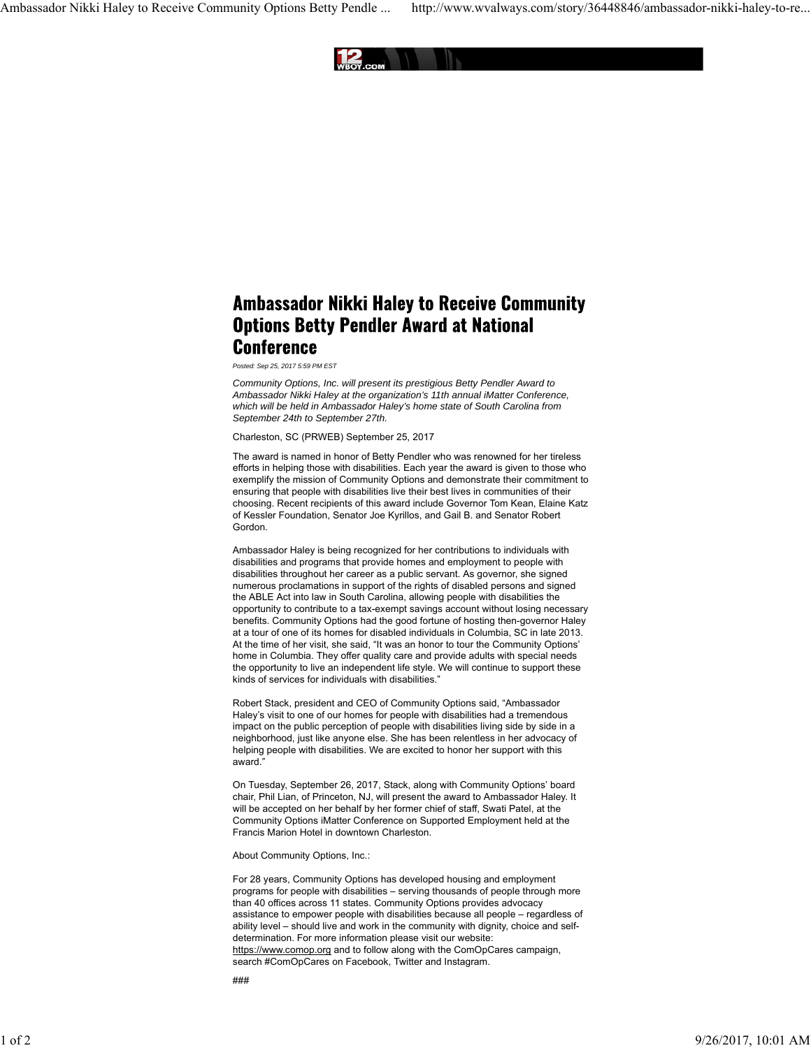

## **Ambassador Nikki Haley to Receive Community Options Betty Pendler Award at National Conference**

*Posted: Sep 25, 2017 5:59 PM EST*

*Community Options, Inc. will present its prestigious Betty Pendler Award to Ambassador Nikki Haley at the organization's 11th annual iMatter Conference, which will be held in Ambassador Haley's home state of South Carolina from September 24th to September 27th.*

Charleston, SC (PRWEB) September 25, 2017

The award is named in honor of Betty Pendler who was renowned for her tireless efforts in helping those with disabilities. Each year the award is given to those who exemplify the mission of Community Options and demonstrate their commitment to ensuring that people with disabilities live their best lives in communities of their choosing. Recent recipients of this award include Governor Tom Kean, Elaine Katz of Kessler Foundation, Senator Joe Kyrillos, and Gail B. and Senator Robert Gordon.

Ambassador Haley is being recognized for her contributions to individuals with disabilities and programs that provide homes and employment to people with disabilities throughout her career as a public servant. As governor, she signed numerous proclamations in support of the rights of disabled persons and signed the ABLE Act into law in South Carolina, allowing people with disabilities the opportunity to contribute to a tax-exempt savings account without losing necessary benefits. Community Options had the good fortune of hosting then-governor Haley at a tour of one of its homes for disabled individuals in Columbia, SC in late 2013. At the time of her visit, she said, "It was an honor to tour the Community Options' home in Columbia. They offer quality care and provide adults with special needs the opportunity to live an independent life style. We will continue to support these kinds of services for individuals with disabilities."

Robert Stack, president and CEO of Community Options said, "Ambassador Haley's visit to one of our homes for people with disabilities had a tremendous impact on the public perception of people with disabilities living side by side in a neighborhood, just like anyone else. She has been relentless in her advocacy of helping people with disabilities. We are excited to honor her support with this award<sup>1</sup>

On Tuesday, September 26, 2017, Stack, along with Community Options' board chair, Phil Lian, of Princeton, NJ, will present the award to Ambassador Haley. It will be accepted on her behalf by her former chief of staff, Swati Patel, at the Community Options iMatter Conference on Supported Employment held at the Francis Marion Hotel in downtown Charleston.

About Community Options, Inc.:

For 28 years, Community Options has developed housing and employment programs for people with disabilities – serving thousands of people through more than 40 offices across 11 states. Community Options provides advocacy assistance to empower people with disabilities because all people – regardless of ability level – should live and work in the community with dignity, choice and selfdetermination. For more information please visit our website: https://www.comop.org and to follow along with the ComOpCares campaign, search #ComOpCares on Facebook, Twitter and Instagram.

###